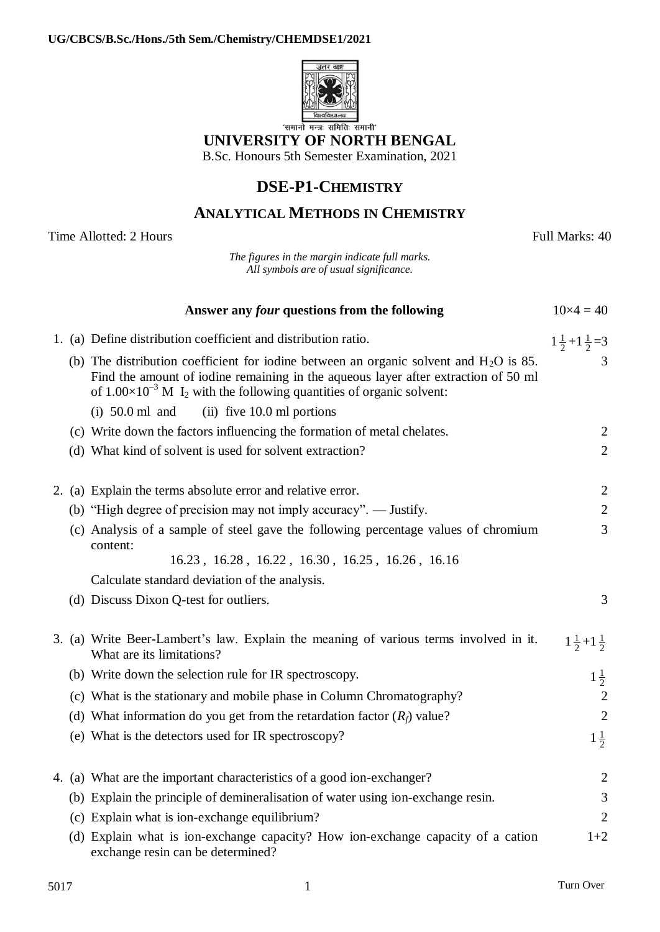

## **UNIVERSITY OF NORTH BENGAL**

B.Sc. Honours 5th Semester Examination, 2021

## **DSE-P1-CHEMISTRY**

## **ANALYTICAL METHODS IN CHEMISTRY**

| Time Allotted: 2 Hours |  |                                                                                                                                                                                                                                                                               | Full Marks: 40                |
|------------------------|--|-------------------------------------------------------------------------------------------------------------------------------------------------------------------------------------------------------------------------------------------------------------------------------|-------------------------------|
|                        |  | The figures in the margin indicate full marks.<br>All symbols are of usual significance.                                                                                                                                                                                      |                               |
|                        |  | Answer any <i>four</i> questions from the following                                                                                                                                                                                                                           | $10\times4=40$                |
|                        |  | 1. (a) Define distribution coefficient and distribution ratio.                                                                                                                                                                                                                | $1\frac{1}{2}+1\frac{1}{2}=3$ |
|                        |  | (b) The distribution coefficient for iodine between an organic solvent and $H_2O$ is 85.<br>Find the amount of iodine remaining in the aqueous layer after extraction of 50 ml<br>of $1.00 \times 10^{-3}$ M I <sub>2</sub> with the following quantities of organic solvent: | 3                             |
|                        |  | $(ii)$ five 10.0 ml portions<br>$(i)$ 50.0 ml and                                                                                                                                                                                                                             |                               |
|                        |  | (c) Write down the factors influencing the formation of metal chelates.                                                                                                                                                                                                       | 2                             |
|                        |  | (d) What kind of solvent is used for solvent extraction?                                                                                                                                                                                                                      | $\overline{2}$                |
|                        |  | 2. (a) Explain the terms absolute error and relative error.                                                                                                                                                                                                                   | 2                             |
|                        |  | (b) "High degree of precision may not imply accuracy". — Justify.                                                                                                                                                                                                             | 2                             |
|                        |  | (c) Analysis of a sample of steel gave the following percentage values of chromium<br>content:                                                                                                                                                                                | 3                             |
|                        |  | 16.23, 16.28, 16.22, 16.30, 16.25, 16.26, 16.16                                                                                                                                                                                                                               |                               |
|                        |  | Calculate standard deviation of the analysis.                                                                                                                                                                                                                                 |                               |
|                        |  | (d) Discuss Dixon Q-test for outliers.                                                                                                                                                                                                                                        | 3                             |
|                        |  | 3. (a) Write Beer-Lambert's law. Explain the meaning of various terms involved in it.<br>What are its limitations?                                                                                                                                                            | $1\frac{1}{2}+1\frac{1}{2}$   |
|                        |  | (b) Write down the selection rule for IR spectroscopy.                                                                                                                                                                                                                        | $\frac{1}{2}$                 |
|                        |  | (c) What is the stationary and mobile phase in Column Chromatography?                                                                                                                                                                                                         | $\overline{2}$                |
|                        |  | (d) What information do you get from the retardation factor $(R_f)$ value?                                                                                                                                                                                                    | $\overline{2}$                |
|                        |  | (e) What is the detectors used for IR spectroscopy?                                                                                                                                                                                                                           | $1\frac{1}{2}$                |
|                        |  | 4. (a) What are the important characteristics of a good ion-exchanger?                                                                                                                                                                                                        | $\overline{2}$                |
|                        |  | (b) Explain the principle of demineralisation of water using ion-exchange resin.                                                                                                                                                                                              | 3                             |
|                        |  | (c) Explain what is ion-exchange equilibrium?                                                                                                                                                                                                                                 | 2                             |
|                        |  | (d) Explain what is ion-exchange capacity? How ion-exchange capacity of a cation<br>exchange resin can be determined?                                                                                                                                                         | $1+2$                         |